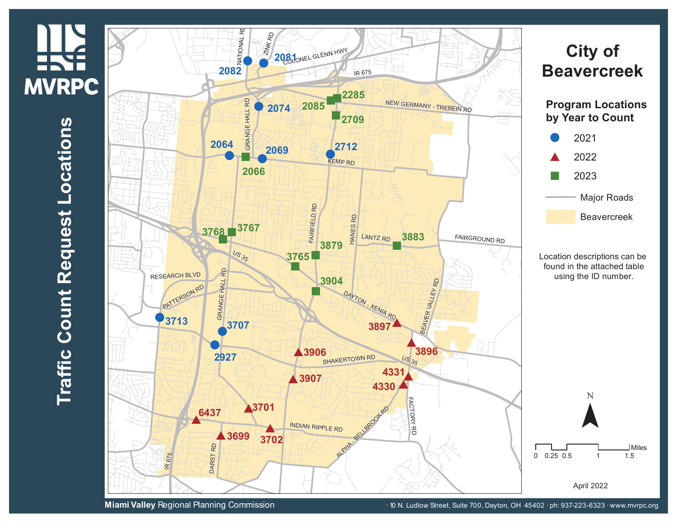

**Miami Valley** Regional Planning Commission **10 Microsoft 10 A. Ludlow Street, Suite 700, Dayton, OH 45402 · ph: 937-223-6323 · www.mvrpc.org**